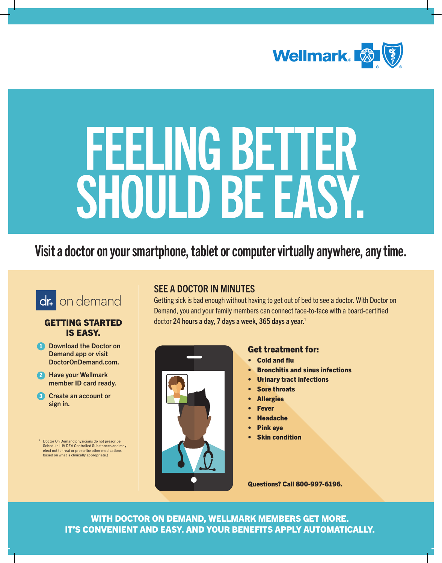

# FEELING BETT **SHOULD BE EAS**

## Visit a doctor on your smartphone, tablet or computer virtually anywhere, any time.



#### GETTING STARTED IS EASY.

- **1** Download the Doctor on Demand app or visit DoctorOnDemand.com.
- **2** Have your Wellmark member ID card ready.
- **3** Create an account or sign in.

<span id="page-0-0"></span><sup>1</sup> Doctor On Demand physicians do not prescribe Schedule I-IV DEA Controlled Substances and may elect not to treat or prescribe other medications based on what is clinically appropriate.)

### SEE A DOCTOR IN MINUTES

Getting sick is bad enough without having to get out of bed to see a doctor. With Doctor on Demand, you and your family members can connect face-to-face with a board-certified doctor 24 hours a day, 7 days a week, 365 days a year. $1$ 



#### Get treatment for:

- Cold and flu
- Bronchitis and sinus infections
- **Urinary tract infections**
- **Sore throats**
- **Allergies**
- **Fever**
- **Headache**
- Pink eye
- **Skin condition**

Questions? Call 800-997-6196.

WITH DOCTOR ON DEMAND, WELLMARK MEMBERS GET MORE. IT'S CONVENIENT AND EASY. AND YOUR BENEFITS APPLY AUTOMATICALLY.